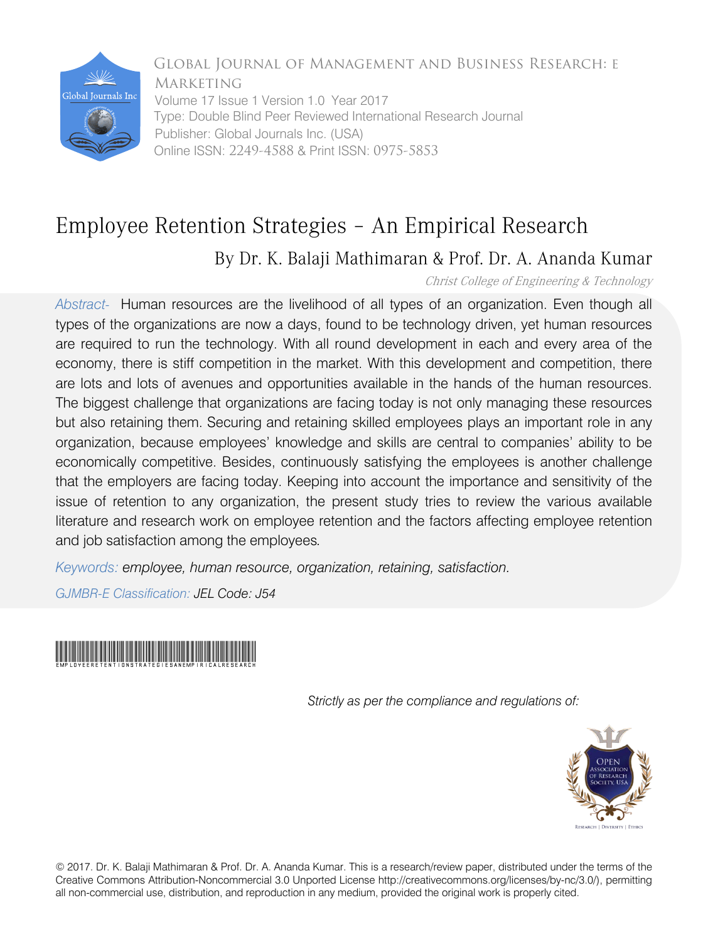

Global Journal of Management and Business Research: E Marketing Volume 17 Issue 1 Version 1.0 Year 2017 Type: Double Blind Peer Reviewed International Research Journal Publisher: Global Journals Inc. (USA) Online ISSN: 2249-4588 & Print ISSN: 0975-5853

# Employee Retention Strategies – An Empirical Research

# By Dr. K. Balaji Mathimaran & Prof. Dr. A. Ananda Kumar

Christ College of Engineering & Technology

*Abstract-* Human resources are the livelihood of all types of an organization. Even though all types of the organizations are now a days, found to be technology driven, yet human resources are required to run the technology. With all round development in each and every area of the economy, there is stiff competition in the market. With this development and competition, there are lots and lots of avenues and opportunities available in the hands of the human resources. The biggest challenge that organizations are facing today is not only managing these resources but also retaining them. Securing and retaining skilled employees plays an important role in any organization, because employees' knowledge and skills are central to companies' ability to be economically competitive. Besides, continuously satisfying the employees is another challenge that the employers are facing today. Keeping into account the importance and sensitivity of the issue of retention to any organization, the present study tries to review the various available literature and research work on employee retention and the factors affecting employee retention and job satisfaction among the employees*.*

*Keywords: employee, human resource, organization, retaining, satisfaction.*

*GJMBR-E Classification: JEL Code: J54*

# EmployeeRetentionStrategiesAnEmpiricalResearch

 *Strictly as per the compliance and regulations of:*



© 2017. Dr. K. Balaji Mathimaran & Prof. Dr. A. Ananda Kumar. This is a research/review paper, distributed under the terms of the Creative Commons Attribution-Noncommercial 3.0 Unported License http://creativecommons.org/licenses/by-nc/3.0/), permitting all non-commercial use, distribution, and reproduction in any medium, provided the original work is properly cited.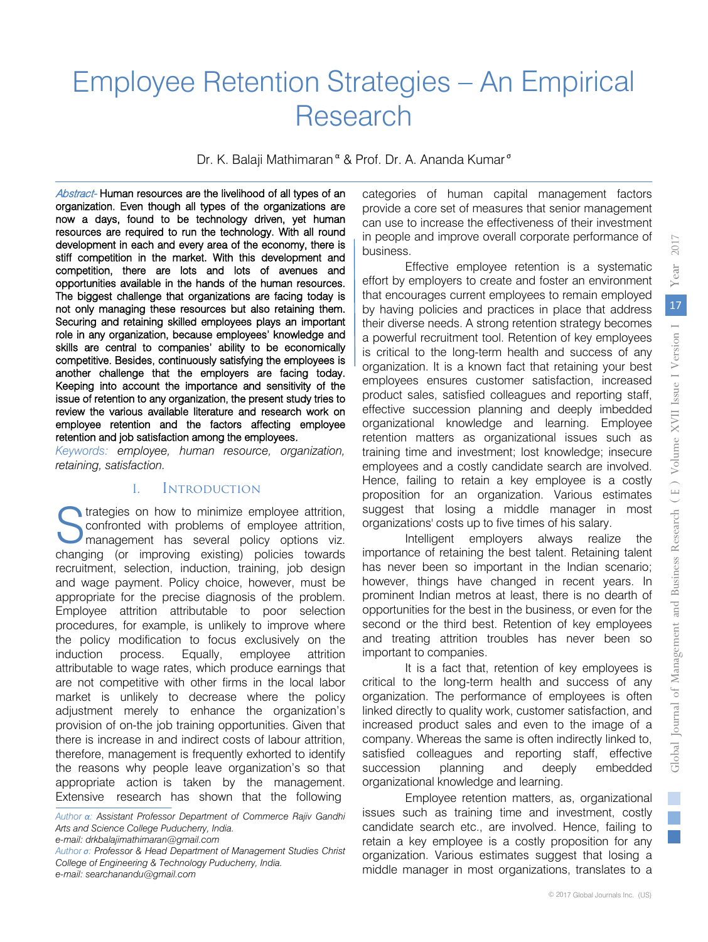# Employee Retention Strategies – An Empirical Research

Dr. K. Balaji Mathimaran<sup>α</sup> & Prof. Dr. A. Ananda Kumar<sup>σ</sup>

Abstract- Human resources are the livelihood of all types of an organization. Even though all types of the organizations are now a days, found to be technology driven, yet human resources are required to run the technology. With all round development in each and every area of the economy, there is stiff competition in the market. With this development and competition, there are lots and lots of avenues and opportunities available in the hands of the human resources. The biggest challenge that organizations are facing today is not only managing these resources but also retaining them. Securing and retaining skilled employees plays an important role in any organization, because employees' knowledge and skills are central to companies' ability to be economically competitive. Besides, continuously satisfying the employees is another challenge that the employers are facing today. Keeping into account the importance and sensitivity of the issue of retention to any organization, the present study tries to review the various available literature and research work on employee retention and the factors affecting employee retention and job satisfaction among the employees.

*Keywords: employee, human resource, organization, retaining, satisfaction.* 

#### I. Introduction

Strategies on how to minimize employee attrition,<br>
confronted with problems of employee attrition,<br>
minimize several policy options viz.<br>
several policy options viz. confronted with problems of employee attrition, management has several policy options viz. changing (or improving existing) policies towards recruitment, selection, induction, training, job design and wage payment. Policy choice, however, must be appropriate for the precise diagnosis of the problem. Employee attrition attributable to poor selection procedures, for example, is unlikely to improve where the policy modification to focus exclusively on the induction process. Equally, employee attrition attributable to wage rates, which produce earnings that are not competitive with other firms in the local labor market is unlikely to decrease where the policy adjustment merely to enhance the organization's provision of on-the job training opportunities. Given that there is increase in and indirect costs of labour attrition, therefore, management is frequently exhorted to identify the reasons why people leave organization's so that appropriate action is taken by the management. Extensive research has shown that the following

*e-mail: drkbalajimathimaran@gmail.com*

*Author σ: Professor & Head Department of Management Studies Christ College of Engineering & Technology Puducherry, India. e-mail: searchanandu@gmail.com*

categories of human capital management factors provide a core set of measures that senior management can use to increase the effectiveness of their investment in people and improve overall corporate performance of business.

Effective employee retention is a systematic effort by employers to create and foster an environment that encourages current employees to remain employed by having policies and practices in place that address their diverse needs. A strong retention strategy becomes a powerful recruitment tool. Retention of key employees is critical to the long-term health and success of any organization. It is a known fact that retaining your best employees ensures customer satisfaction, increased product sales, satisfied colleagues and reporting staff, effective succession planning and deeply imbedded organizational knowledge and learning. Employee retention matters as organizational issues such as training time and investment; lost knowledge; insecure employees and a costly candidate search are involved. Hence, failing to retain a key employee is a costly proposition for an organization. Various estimates suggest that losing a middle manager in most organizations' costs up to five times of his salary.

Intelligent employers always realize the importance of retaining the best talent. Retaining talent has never been so important in the Indian scenario; however, things have changed in recent years. In prominent Indian metros at least, there is no dearth of opportunities for the best in the business, or even for the second or the third best. Retention of key employees and treating attrition troubles has never been so important to companies.

It is a fact that, retention of key employees is critical to the long-term health and success of any organization. The performance of employees is often linked directly to quality work, customer satisfaction, and increased product sales and even to the image of a company. Whereas the same is often indirectly linked to, satisfied colleagues and reporting staff, effective succession planning and deeply embedded organizational knowledge and learning.

Employee retention matters, as, organizational issues such as training time and investment, costly candidate search etc., are involved. Hence, failing to retain a key employee is a costly proposition for any organization. Various estimates suggest that losing a middle manager in most organizations, translates to a

*Author α: Assistant Professor Department of Commerce Rajiv Gandhi Arts and Science College Puducherry, India.*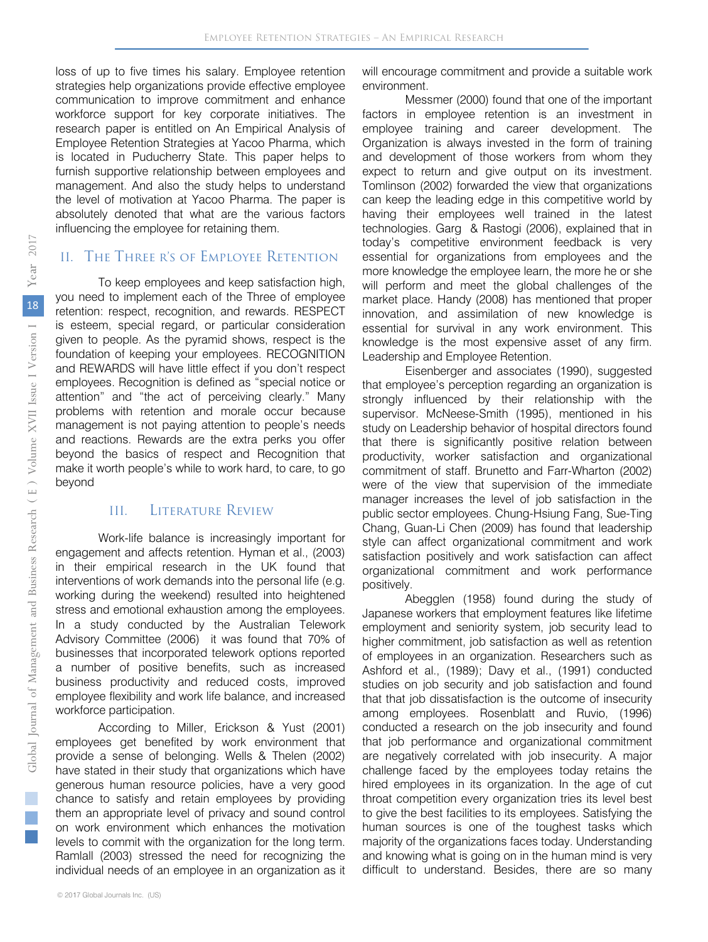loss of up to five times his salary. Employee retention strategies help organizations provide effective employee communication to improve commitment and enhance workforce support for key corporate initiatives. The research paper is entitled on An Empirical Analysis of Employee Retention Strategies at Yacoo Pharma, which is located in Puducherry State. This paper helps to furnish supportive relationship between employees and management. And also the study helps to understand the level of motivation at Yacoo Pharma. The paper is absolutely denoted that what are the various factors influencing the employee for retaining them.

#### II. The Three r's of Employee Retention

To keep employees and keep satisfaction high, you need to implement each of the Three of employee retention: respect, recognition, and rewards. RESPECT is esteem, special regard, or particular consideration given to people. As the pyramid shows, respect is the foundation of keeping your employees. RECOGNITION and REWARDS will have little effect if you don't respect employees. Recognition is defined as "special notice or attention" and "the act of perceiving clearly." Many problems with retention and morale occur because management is not paying attention to people's needs and reactions. Rewards are the extra perks you offer beyond the basics of respect and Recognition that make it worth people's while to work hard, to care, to go beyond

#### III. Literature Review

Work-life balance is increasingly important for engagement and affects retention. Hyman et al., (2003) in their empirical research in the UK found that interventions of work demands into the personal life (e.g. working during the weekend) resulted into heightened stress and emotional exhaustion among the employees. In a study conducted by the Australian Telework Advisory Committee (2006) it was found that 70% of businesses that incorporated telework options reported a number of positive benefits, such as increased business productivity and reduced costs, improved employee flexibility and work life balance, and increased workforce participation.

According to Miller, Erickson & Yust (2001) employees get benefited by work environment that provide a sense of belonging. Wells & Thelen (2002) have stated in their study that organizations which have generous human resource policies, have a very good chance to satisfy and retain employees by providing them an appropriate level of privacy and sound control on work environment which enhances the motivation levels to commit with the organization for the long term. Ramlall (2003) stressed the need for recognizing the individual needs of an employee in an organization as it

will encourage commitment and provide a suitable work environment.

Messmer (2000) found that one of the important factors in employee retention is an investment in employee training and career development. The Organization is always invested in the form of training and development of those workers from whom they expect to return and give output on its investment. Tomlinson (2002) forwarded the view that organizations can keep the leading edge in this competitive world by having their employees well trained in the latest technologies. Garg & Rastogi (2006), explained that in today's competitive environment feedback is very essential for organizations from employees and the more knowledge the employee learn, the more he or she will perform and meet the global challenges of the market place. Handy (2008) has mentioned that proper innovation, and assimilation of new knowledge is essential for survival in any work environment. This knowledge is the most expensive asset of any firm. Leadership and Employee Retention.

Eisenberger and associates (1990), suggested that employee's perception regarding an organization is strongly influenced by their relationship with the supervisor. McNeese-Smith (1995), mentioned in his study on Leadership behavior of hospital directors found that there is significantly positive relation between productivity, worker satisfaction and organizational commitment of staff. Brunetto and Farr-Wharton (2002) were of the view that supervision of the immediate manager increases the level of job satisfaction in the public sector employees. Chung-Hsiung Fang, Sue-Ting Chang, Guan-Li Chen (2009) has found that leadership style can affect organizational commitment and work satisfaction positively and work satisfaction can affect organizational commitment and work performance positively.

Abegglen (1958) found during the study of Japanese workers that employment features like lifetime employment and seniority system, job security lead to higher commitment, job satisfaction as well as retention of employees in an organization. Researchers such as Ashford et al., (1989); Davy et al., (1991) conducted studies on job security and job satisfaction and found that that job dissatisfaction is the outcome of insecurity among employees. Rosenblatt and Ruvio, (1996) conducted a research on the job insecurity and found that job performance and organizational commitment are negatively correlated with job insecurity. A major challenge faced by the employees today retains the hired employees in its organization. In the age of cut throat competition every organization tries its level best to give the best facilities to its employees. Satisfying the human sources is one of the toughest tasks which majority of the organizations faces today. Understanding and knowing what is going on in the human mind is very difficult to understand. Besides, there are so many

 $\mathbb{R}^3$  $\mathbb{R}^n$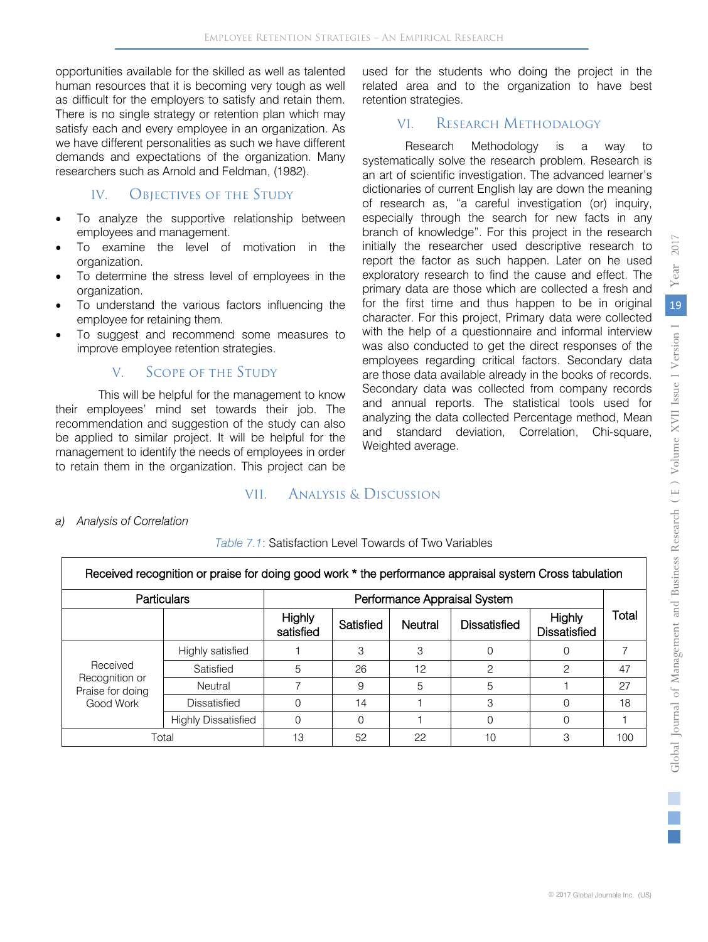opportunities available for the skilled as well as talented human resources that it is becoming very tough as well as difficult for the employers to satisfy and retain them. There is no single strategy or retention plan which may satisfy each and every employee in an organization. As we have different personalities as such we have different demands and expectations of the organization. Many researchers such as Arnold and Feldman, (1982).

### IV. Objectives of the Study

- To analyze the supportive relationship between employees and management.
- To examine the level of motivation in the organization.
- To determine the stress level of employees in the organization.
- To understand the various factors influencing the employee for retaining them.
- To suggest and recommend some measures to improve employee retention strategies.

#### V. Scope of the Study

This will be helpful for the management to know their employees' mind set towards their job. The recommendation and suggestion of the study can also be applied to similar project. It will be helpful for the management to identify the needs of employees in order to retain them in the organization. This project can be

used for the students who doing the project in the related area and to the organization to have best retention strategies.

#### VI. RESEARCH METHODALOGY

Research Methodology is a way to systematically solve the research problem. Research is an art of scientific investigation. The advanced learner's dictionaries of current English lay are down the meaning of research as, "a careful investigation (or) inquiry, especially through the search for new facts in any branch of knowledge". For this project in the research initially the researcher used descriptive research to report the factor as such happen. Later on he used exploratory research to find the cause and effect. The primary data are those which are collected a fresh and for the first time and thus happen to be in original character. For this project, Primary data were collected with the help of a questionnaire and informal interview was also conducted to get the direct responses of the employees regarding critical factors. Secondary data are those data available already in the books of records. Secondary data was collected from company records and annual reports. The statistical tools used for analyzing the data collected Percentage method, Mean and standard deviation, Correlation, Chi-square, Weighted average.

# VII. Analysis & Discussion

*a) Analysis of Correlation*

| Received recognition or praise for doing good work * the performance appraisal system Cross tabulation |                            |                              |           |         |                     |                                                     |       |  |  |
|--------------------------------------------------------------------------------------------------------|----------------------------|------------------------------|-----------|---------|---------------------|-----------------------------------------------------|-------|--|--|
| Particulars                                                                                            |                            | Performance Appraisal System |           |         |                     |                                                     |       |  |  |
|                                                                                                        |                            | <b>Highly</b><br>satisfied   | Satisfied | Neutral | <b>Dissatisfied</b> | Highly<br><b>Dissatisfied</b><br>$\mathcal{P}$<br>3 | Total |  |  |
|                                                                                                        | Highly satisfied           |                              | 3         | 3       | 0                   |                                                     |       |  |  |
| Received                                                                                               | Satisfied                  | 5                            | 26        | 12      | 2                   |                                                     | 47    |  |  |
| Recognition or<br>Praise for doing<br>Good Work                                                        | Neutral                    |                              | 9         | 5       | 5                   |                                                     | 27    |  |  |
|                                                                                                        | Dissatisfied               | 0                            | 14        |         | 3                   |                                                     | 18    |  |  |
|                                                                                                        | <b>Highly Dissatisfied</b> | 0                            | $\Omega$  |         | 0                   |                                                     |       |  |  |
| Total                                                                                                  |                            | 13                           | 52        | 22      | 10                  |                                                     | 100   |  |  |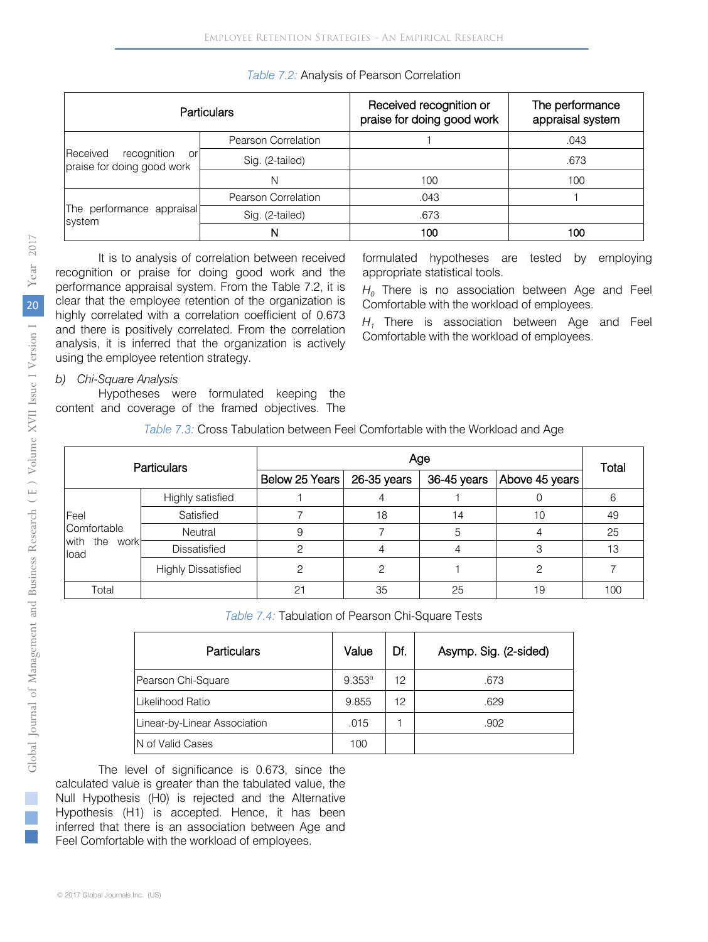|                                                             | <b>Particulars</b>  | Received recognition or<br>praise for doing good work | The performance<br>appraisal system |  |  |
|-------------------------------------------------------------|---------------------|-------------------------------------------------------|-------------------------------------|--|--|
|                                                             | Pearson Correlation |                                                       | .043                                |  |  |
| Received<br>recognition<br>Oľ<br>praise for doing good work | Sig. (2-tailed)     |                                                       | .673                                |  |  |
|                                                             | N                   | 100                                                   | 100                                 |  |  |
|                                                             | Pearson Correlation | .043                                                  |                                     |  |  |
| The performance appraisal<br>system                         | Sig. (2-tailed)     | .673                                                  |                                     |  |  |
|                                                             | N                   | 100                                                   | 100                                 |  |  |

*Table 7.2:* Analysis of Pearson Correlation

It is to analysis of correlation between received recognition or praise for doing good work and the performance appraisal system. From the Table 7.2, it is clear that the employee retention of the organization is highly correlated with a correlation coefficient of 0.673 and there is positively correlated. From the correlation analysis, it is inferred that the organization is actively using the employee retention strategy.

formulated hypotheses are tested by employing appropriate statistical tools.

*H0* There is no association between Age and Feel Comfortable with the workload of employees.

*H1* There is association between Age and Feel Comfortable with the workload of employees.

#### *b) Chi-Square Analysis*

Hypotheses were formulated keeping the content and coverage of the framed objectives. The

*Table 7.3:* Cross Tabulation between Feel Comfortable with the Workload and Age

| <b>Particulars</b>                           |                            |                | Total          |             |                |     |
|----------------------------------------------|----------------------------|----------------|----------------|-------------|----------------|-----|
|                                              |                            | Below 25 Years | 26-35 years    | 36-45 years | Above 45 years |     |
| Feel<br>Comfortable<br>with the work<br>load | Highly satisfied           |                | 4              |             |                | 6   |
|                                              | Satisfied                  |                | 18             | 14          | 10             | 49  |
|                                              | Neutral                    | 9              |                | 5           |                | 25  |
|                                              | <b>Dissatisfied</b>        | 2              | $\overline{4}$ | 4           | З              | 13  |
|                                              | <b>Highly Dissatisfied</b> | ◠              | $\mathcal{P}$  |             | っ              |     |
| Total                                        |                            | 21             | 35             | 25          | 19             | 100 |

*Table 7.4:* Tabulation of Pearson Chi-Square Tests

| Particulars                  | Value       | Df. | Asymp. Sig. (2-sided) |
|------------------------------|-------------|-----|-----------------------|
| Pearson Chi-Square           | $9.353^{a}$ | 12  | .673                  |
| Likelihood Ratio             | 9.855       | 12  | .629                  |
| Linear-by-Linear Association | .015        |     | .902                  |
| N of Valid Cases             | 100         |     |                       |

The level of significance is 0.673, since the calculated value is greater than the tabulated value, the Null Hypothesis (H0) is rejected and the Alternative Hypothesis (H1) is accepted. Hence, it has been inferred that there is an association between Age and Feel Comfortable with the workload of employees.

 $\mathbb{R}^3$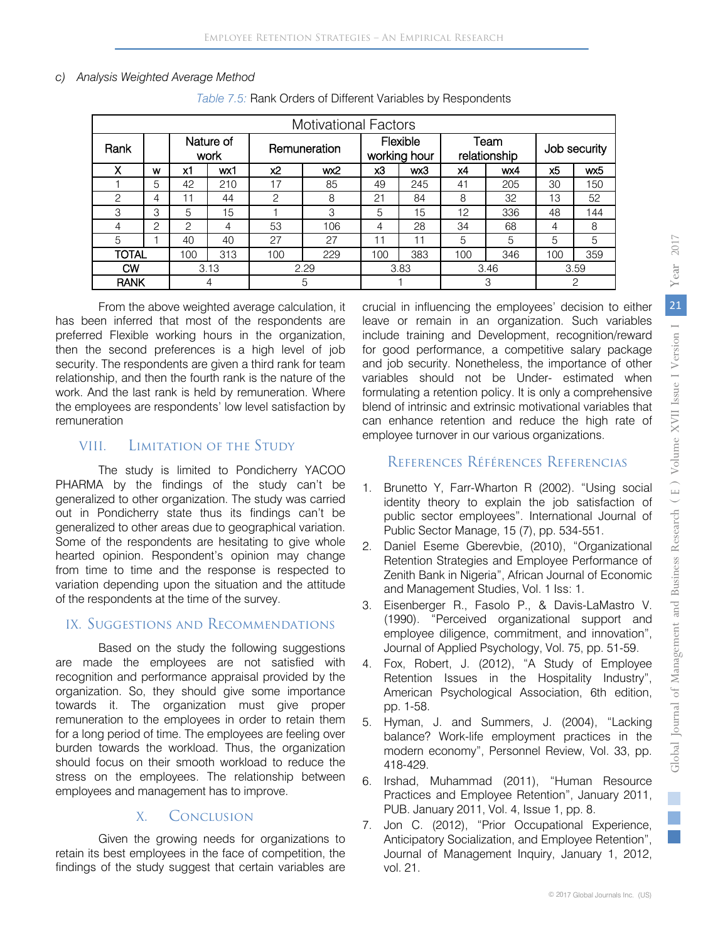#### *c) Analysis Weighted Average Method*

| <b>Motivational Factors</b> |               |               |                   |              |                 |                          |     |                      |                |              |                 |
|-----------------------------|---------------|---------------|-------------------|--------------|-----------------|--------------------------|-----|----------------------|----------------|--------------|-----------------|
| Rank                        |               |               | Nature of<br>work | Remuneration |                 | Flexible<br>working hour |     | Team<br>relationship |                | Job security |                 |
| x                           | w             | x1            | wx1               | x2           | wx <sub>2</sub> | x3                       | wx3 | x4                   | wx4            | x5           | wx <sub>5</sub> |
|                             | 5             | 42            | 210               | 17           | 85              | 49                       | 245 | 41                   | 205            | 30           | 150             |
| $\mathcal{P}$               | 4             | 11            | 44                | 2            | 8               | 21                       | 84  | 8                    | 32             | 13           | 52              |
| З                           | 3             | 5             | 15                |              | 3               | 5                        | 15  | 12                   | 336            | 48           | 144             |
| 4                           | $\mathcal{P}$ | $\mathcal{P}$ | 4                 | 53           | 106             | 4                        | 28  | 34                   | 68             | 4            | 8               |
| 5                           |               | 40            | 40                | 27           | 27              | 11                       | 11  | 5                    | 5              | 5            | 5               |
| TOTAL                       |               | 100           | 313               | 100          | 229             | 100                      | 383 | 100                  | 346            | 100          | 359             |
| <b>CW</b>                   |               |               | 3.13              | 2.29         |                 | 3.83                     |     | 3.46                 |                | 3.59         |                 |
| <b>RANK</b>                 |               | 4             | 5                 |              |                 |                          | 3   |                      | $\overline{c}$ |              |                 |

*Table 7.5:* Rank Orders of Different Variables by Respondents

From the above weighted average calculation, it has been inferred that most of the respondents are preferred Flexible working hours in the organization, then the second preferences is a high level of job security. The respondents are given a third rank for team relationship, and then the fourth rank is the nature of the work. And the last rank is held by remuneration. Where the employees are respondents' low level satisfaction by remuneration

#### VIII. Limitation of the Study

The study is limited to Pondicherry YACOO PHARMA by the findings of the study can't be generalized to other organization. The study was carried out in Pondicherry state thus its findings can't be generalized to other areas due to geographical variation. Some of the respondents are hesitating to give whole hearted opinion. Respondent's opinion may change from time to time and the response is respected to variation depending upon the situation and the attitude of the respondents at the time of the survey.

### IX. Suggestions and Recommendations

Based on the study the following suggestions are made the employees are not satisfied with recognition and performance appraisal provided by the organization. So, they should give some importance towards it. The organization must give proper remuneration to the employees in order to retain them for a long period of time. The employees are feeling over burden towards the workload. Thus, the organization should focus on their smooth workload to reduce the stress on the employees. The relationship between employees and management has to improve.

# X. Conclusion

Given the growing needs for organizations to retain its best employees in the face of competition, the findings of the study suggest that certain variables are crucial in influencing the employees' decision to either leave or remain in an organization. Such variables include training and Development, recognition/reward for good performance, a competitive salary package and job security. Nonetheless, the importance of other variables should not be Under- estimated when formulating a retention policy. It is only a comprehensive blend of intrinsic and extrinsic motivational variables that can enhance retention and reduce the high rate of employee turnover in our various organizations.

# References Références Referencias

- 1. Brunetto Y, Farr-Wharton R (2002). "Using social identity theory to explain the job satisfaction of public sector employees". International Journal of Public Sector Manage, 15 (7), pp. 534-551.
- 2. Daniel Eseme Gberevbie, (2010), "Organizational Retention Strategies and Employee Performance of Zenith Bank in Nigeria", African Journal of Economic and Management Studies, Vol. 1 Iss: 1.
- 3. Eisenberger R., Fasolo P., & Davis-LaMastro V. (1990). "Perceived organizational support and employee diligence, commitment, and innovation", Journal of Applied Psychology, Vol. 75, pp. 51-59.
- 4. Fox, Robert, J. (2012), "A Study of Employee Retention Issues in the Hospitality Industry", American Psychological Association, 6th edition, pp. 1-58.
- Hyman, J. and Summers, J. (2004), "Lacking balance? Work-life employment practices in the modern economy", Personnel Review, Vol. 33, pp. 418-429. 5.
- 6. Irshad, Muhammad (2011), "Human Resource Practices and Employee Retention", January 2011, PUB. January 2011, Vol. 4, Issue 1, pp. 8.
- 7. Jon C. (2012), "Prior Occupational Experience, Anticipatory Socialization, and Employee Retention", Journal of Management Inquiry, January 1, 2012, vol. 21.